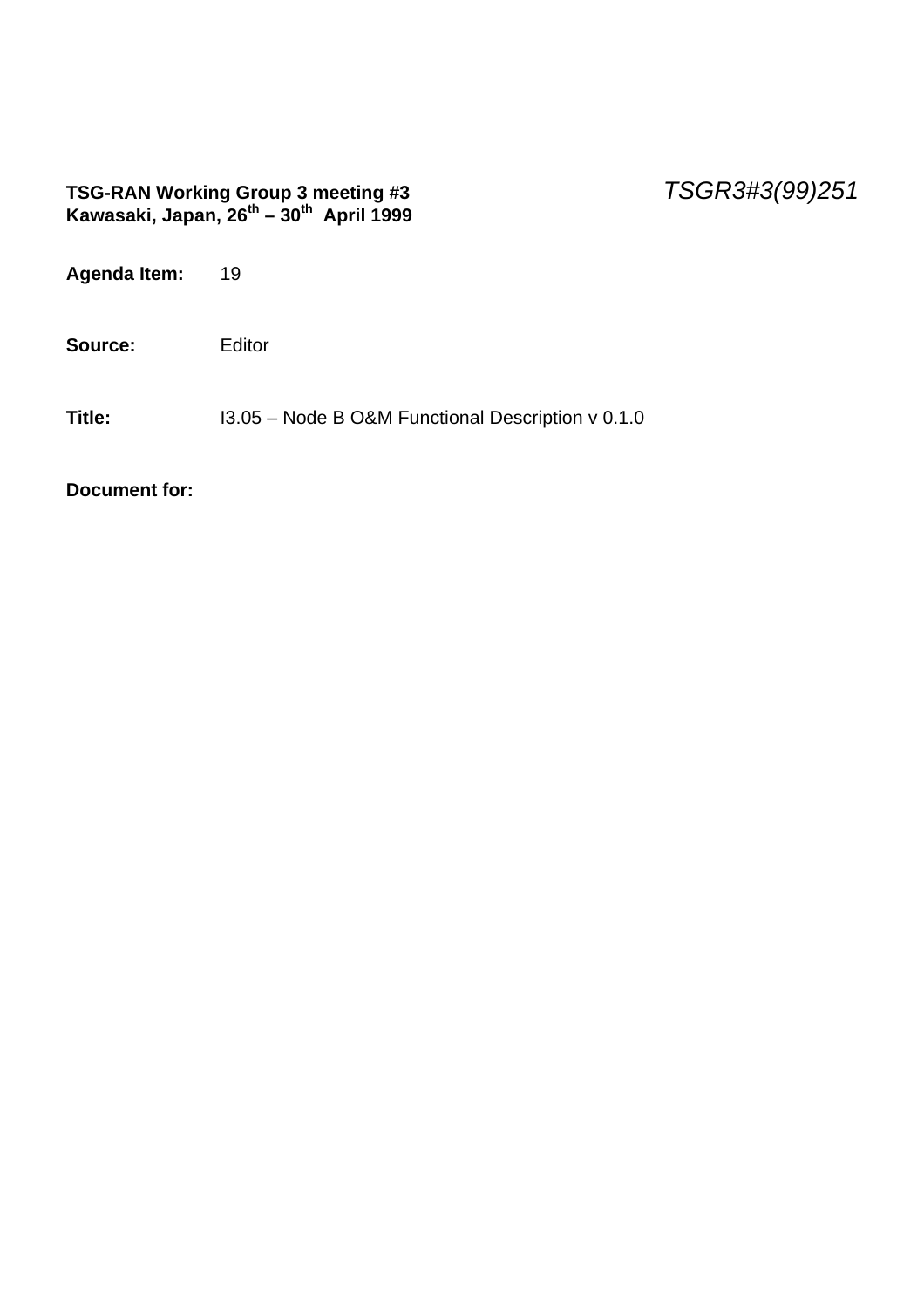#### **TSG-RAN Working Group 3 meeting #3** *TSGR3#3(99)251* **Kawasaki, Japan, 26th – 30th April 1999**

| Agenda Item: | 19                                                |
|--------------|---------------------------------------------------|
| Source:      | Editor                                            |
| Title:       | 13.05 - Node B O&M Functional Description v 0.1.0 |

**Document for:**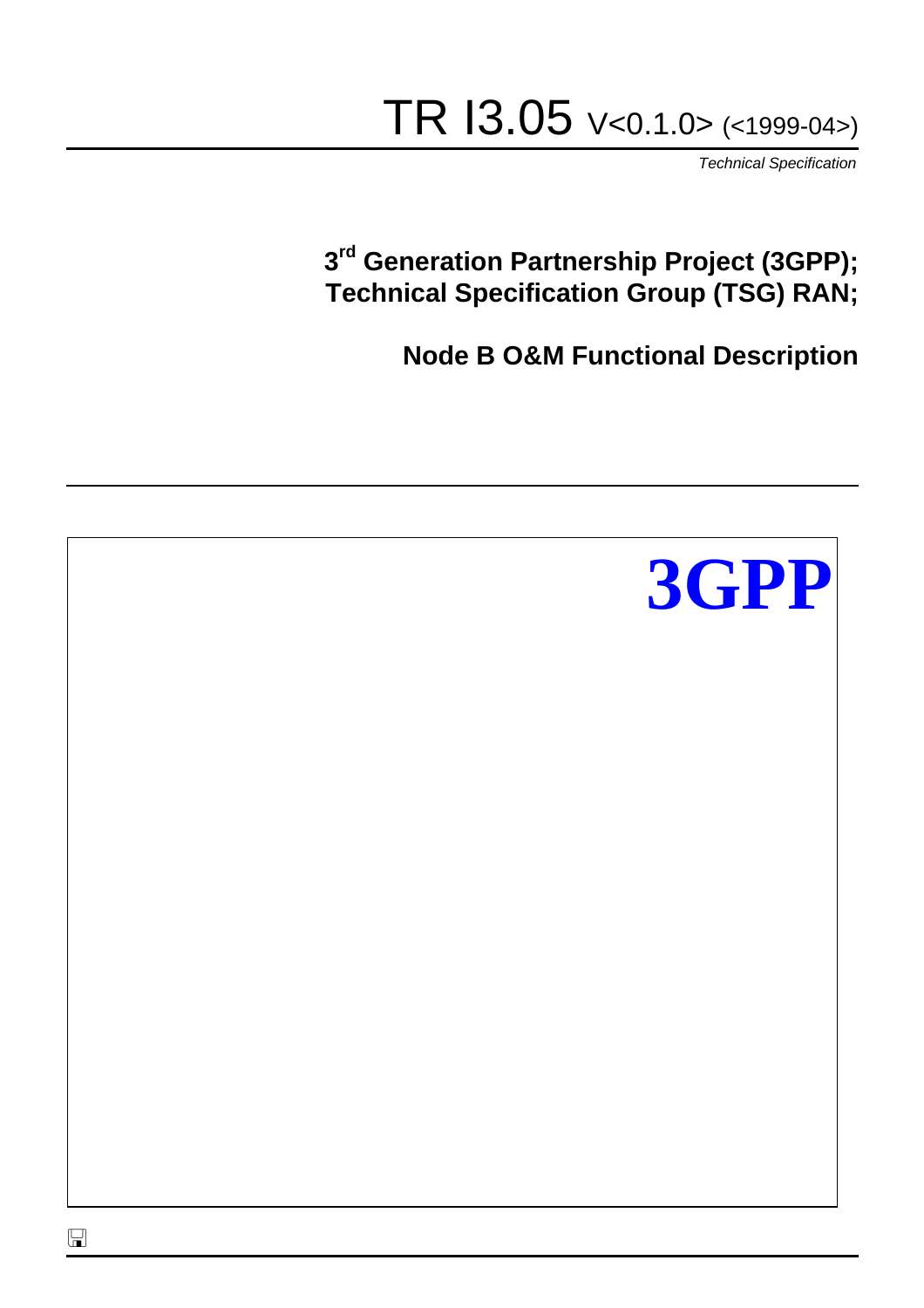# TR I3.05 V<0.1.0> (<1999-04>)

*Technical Specification*

# **3 rd Generation Partnership Project (3GPP); Technical Specification Group (TSG) RAN;**

**Node B O&M Functional Description**

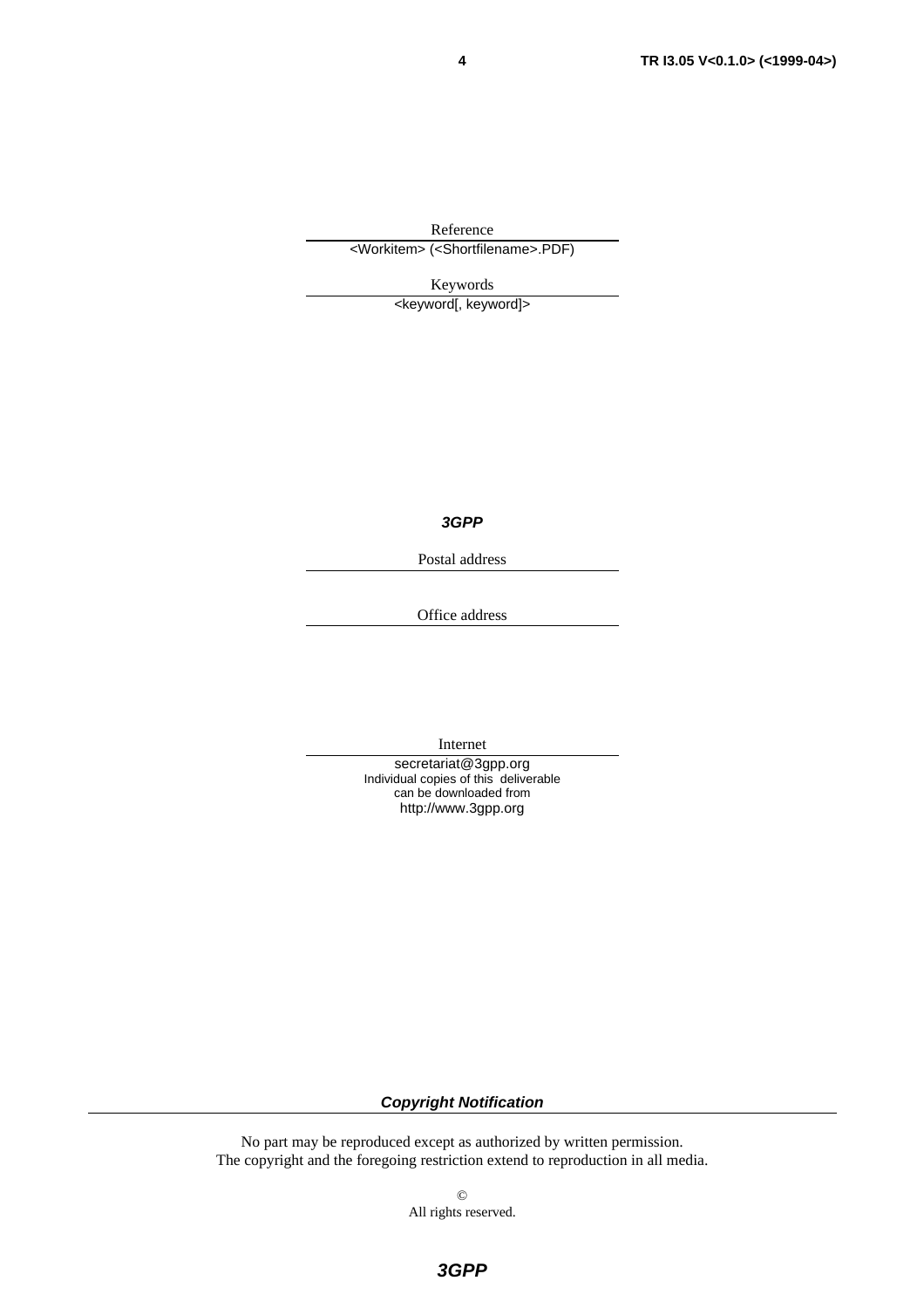Reference <Workitem> (<Shortfilename>.PDF)

Keywords

<keyword[, keyword]>

*3GPP*

Postal address

Office address

Internet

secretariat@3gpp.org Individual copies of this deliverable can be downloaded from http://www.3gpp.org

#### *Copyright Notification*

No part may be reproduced except as authorized by written permission. The copyright and the foregoing restriction extend to reproduction in all media.

> © All rights reserved.

*3GPP*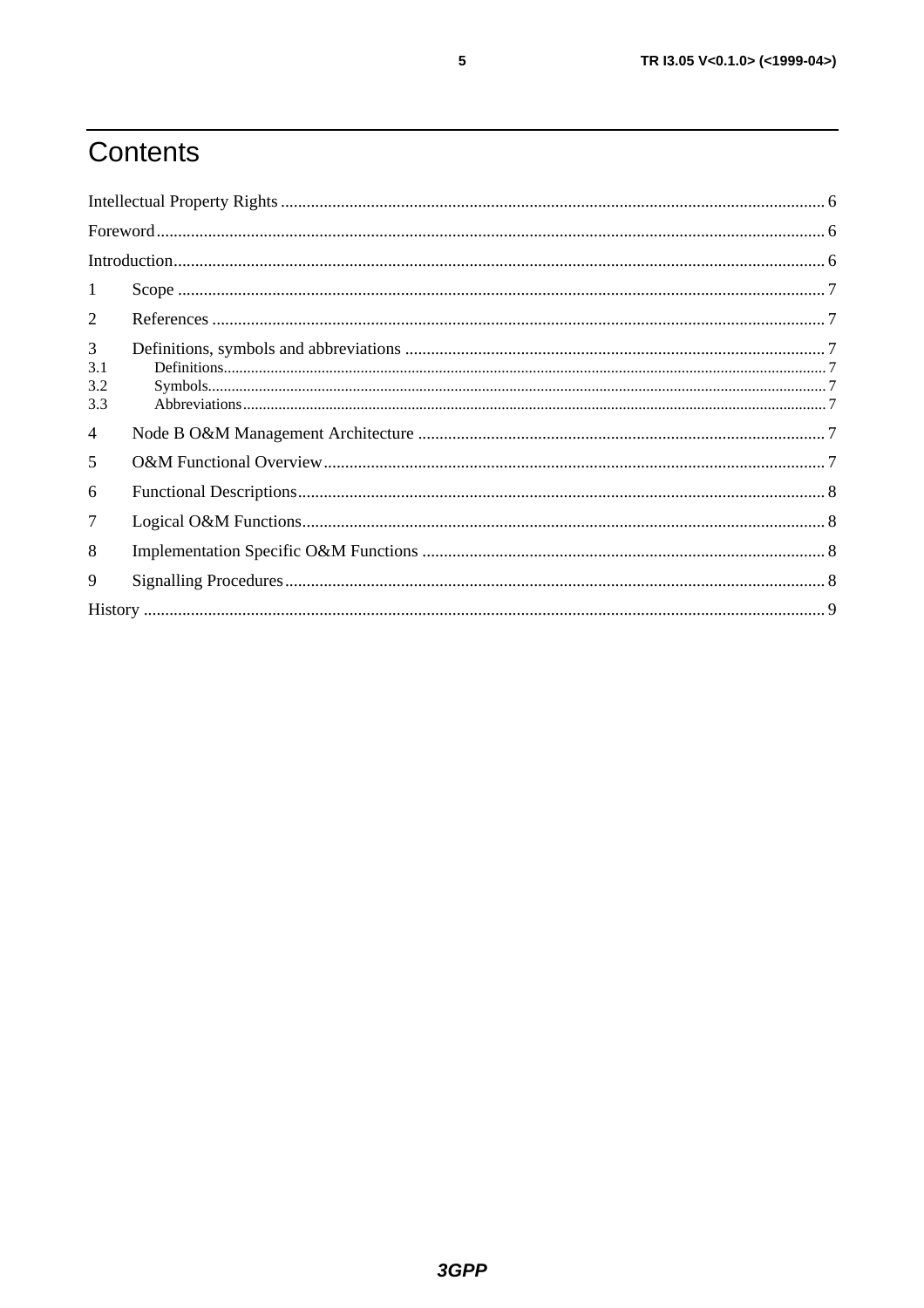# Contents

| 1                      |  |  |  |  |
|------------------------|--|--|--|--|
| 2                      |  |  |  |  |
| 3<br>3.1<br>3.2<br>3.3 |  |  |  |  |
| $\overline{4}$         |  |  |  |  |
| 5                      |  |  |  |  |
| 6                      |  |  |  |  |
| 7                      |  |  |  |  |
| 8                      |  |  |  |  |
| 9                      |  |  |  |  |
|                        |  |  |  |  |

 $\overline{\mathbf{5}}$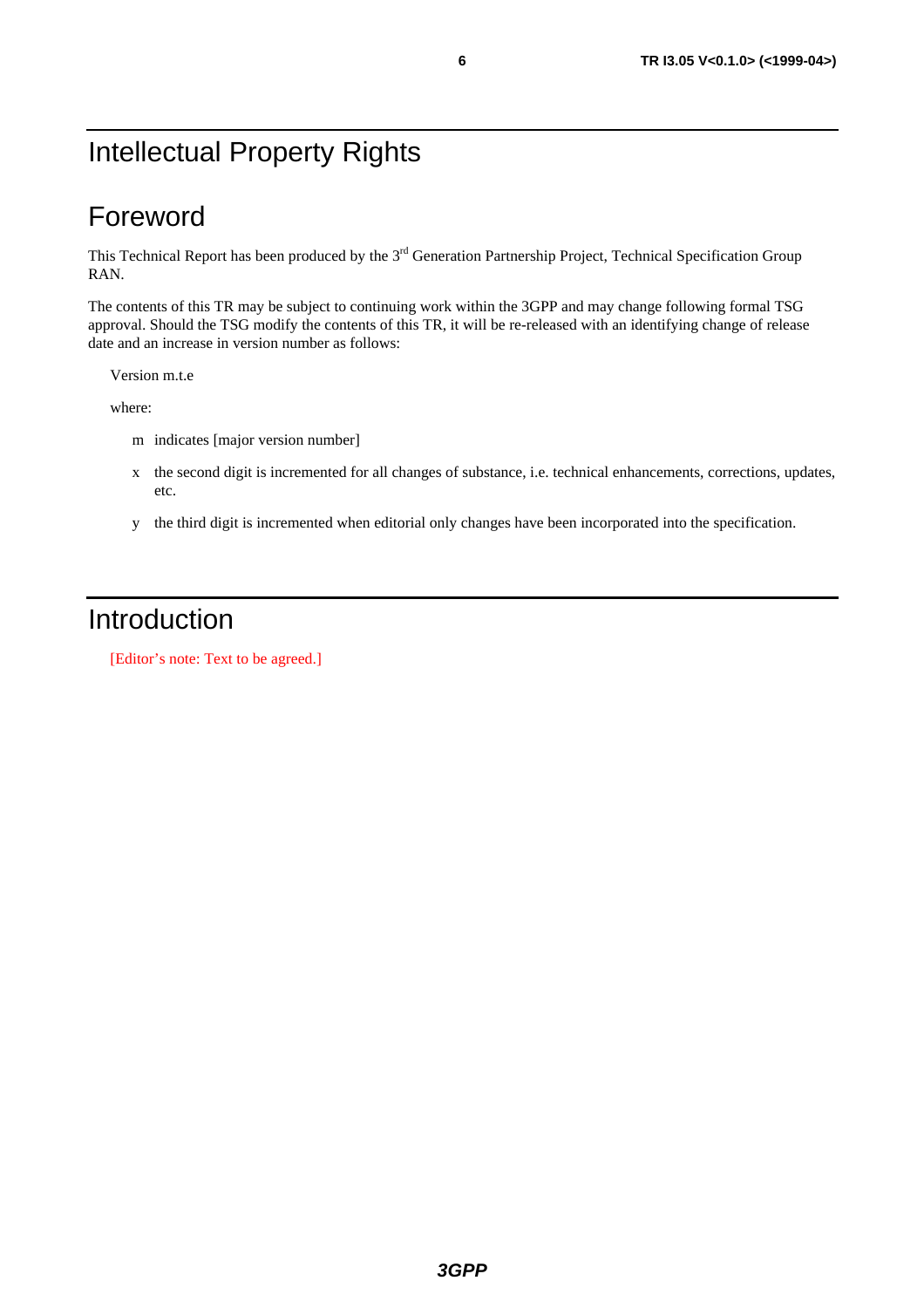# Intellectual Property Rights

## Foreword

This Technical Report has been produced by the 3<sup>rd</sup> Generation Partnership Project, Technical Specification Group RAN.

The contents of this TR may be subject to continuing work within the 3GPP and may change following formal TSG approval. Should the TSG modify the contents of this TR, it will be re-released with an identifying change of release date and an increase in version number as follows:

Version m.t.e

where:

- m indicates [major version number]
- x the second digit is incremented for all changes of substance, i.e. technical enhancements, corrections, updates, etc.
- y the third digit is incremented when editorial only changes have been incorporated into the specification.

### Introduction

[Editor's note: Text to be agreed.]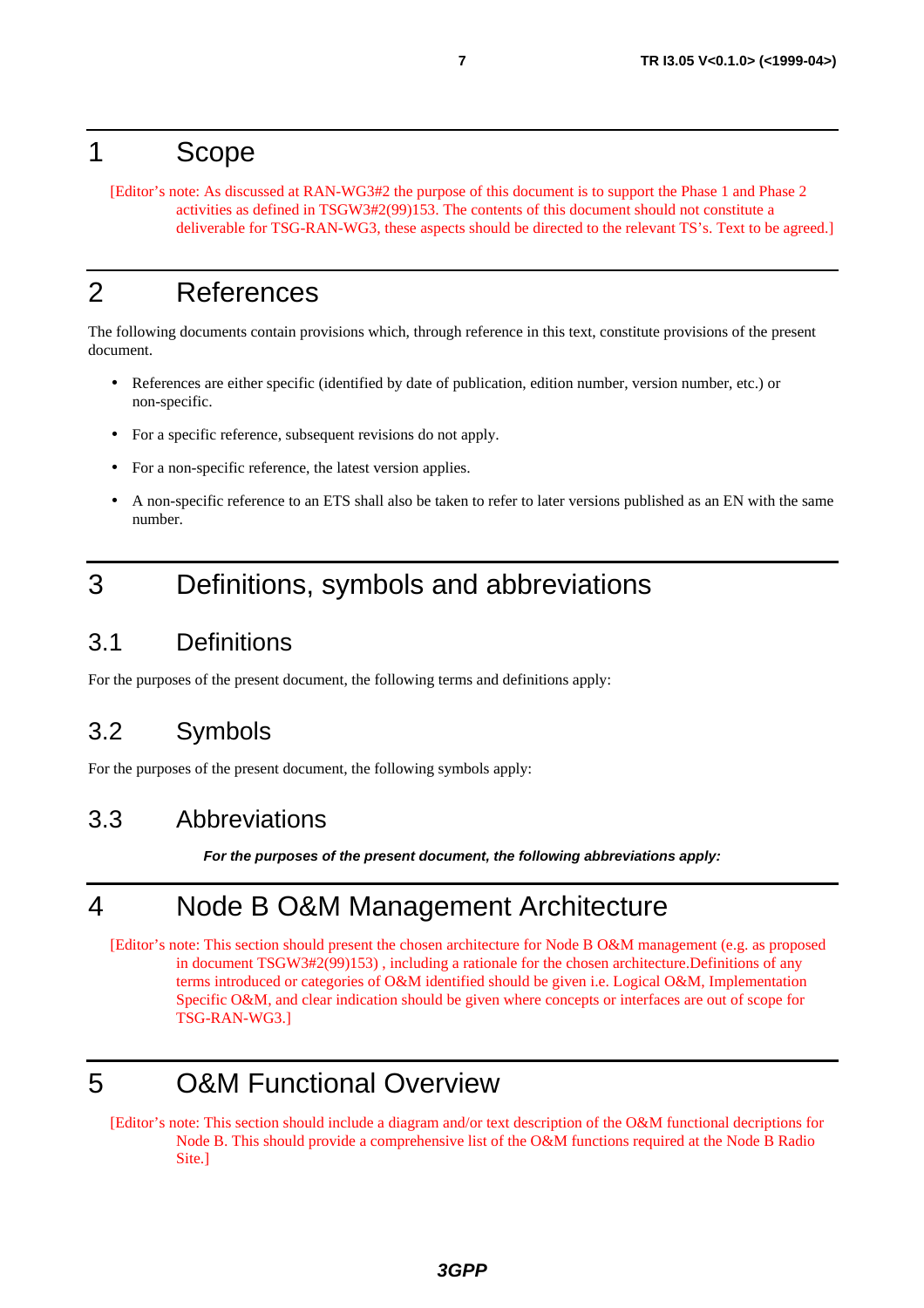#### 1 Scope

[Editor's note: As discussed at RAN-WG3#2 the purpose of this document is to support the Phase 1 and Phase 2 activities as defined in TSGW3#2(99)153. The contents of this document should not constitute a deliverable for TSG-RAN-WG3, these aspects should be directed to the relevant TS's. Text to be agreed.]

# 2 References

The following documents contain provisions which, through reference in this text, constitute provisions of the present document.

- References are either specific (identified by date of publication, edition number, version number, etc.) or non-specific.
- For a specific reference, subsequent revisions do not apply.
- For a non-specific reference, the latest version applies.
- A non-specific reference to an ETS shall also be taken to refer to later versions published as an EN with the same number.

### 3 Definitions, symbols and abbreviations

#### 3.1 Definitions

For the purposes of the present document, the following terms and definitions apply:

#### 3.2 Symbols

For the purposes of the present document, the following symbols apply:

#### 3.3 Abbreviations

*For the purposes of the present document, the following abbreviations apply:*

# 4 Node B O&M Management Architecture

[Editor's note: This section should present the chosen architecture for Node B O&M management (e.g. as proposed in document TSGW3#2(99)153) , including a rationale for the chosen architecture.Definitions of any terms introduced or categories of O&M identified should be given i.e. Logical O&M, Implementation Specific O&M, and clear indication should be given where concepts or interfaces are out of scope for TSG-RAN-WG3.]

# 5 O&M Functional Overview

[Editor's note: This section should include a diagram and/or text description of the O&M functional decriptions for Node B. This should provide a comprehensive list of the O&M functions required at the Node B Radio Site.]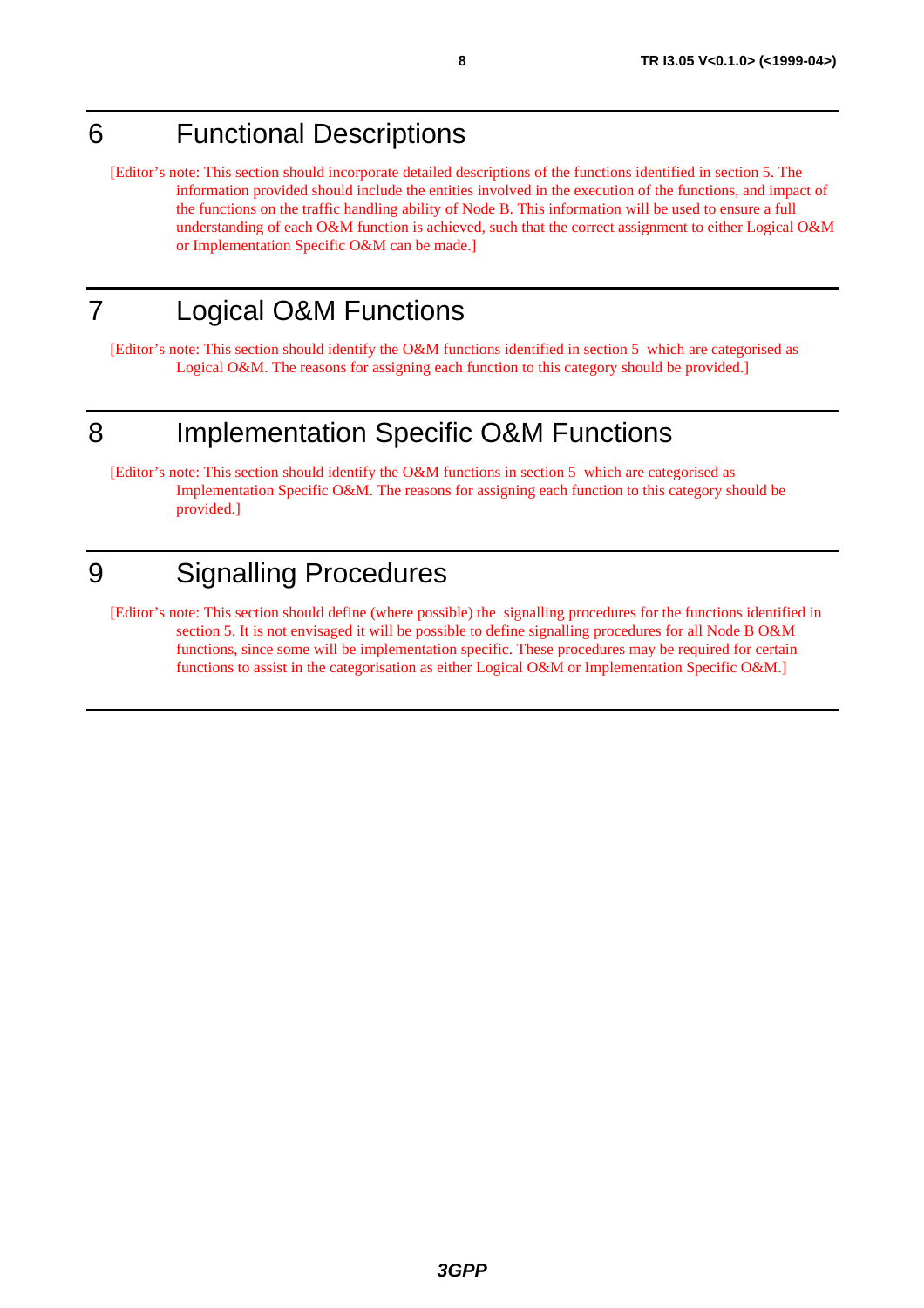# 6 Functional Descriptions

[Editor's note: This section should incorporate detailed descriptions of the functions identified in section 5. The information provided should include the entities involved in the execution of the functions, and impact of the functions on the traffic handling ability of Node B. This information will be used to ensure a full understanding of each O&M function is achieved, such that the correct assignment to either Logical O&M or Implementation Specific O&M can be made.]

# 7 Logical O&M Functions

[Editor's note: This section should identify the O&M functions identified in section 5 which are categorised as Logical O&M. The reasons for assigning each function to this category should be provided.]

# 8 Implementation Specific O&M Functions

[Editor's note: This section should identify the O&M functions in section 5 which are categorised as Implementation Specific O&M. The reasons for assigning each function to this category should be provided.]

# 9 Signalling Procedures

[Editor's note: This section should define (where possible) the signalling procedures for the functions identified in section 5. It is not envisaged it will be possible to define signalling procedures for all Node B O&M functions, since some will be implementation specific. These procedures may be required for certain functions to assist in the categorisation as either Logical O&M or Implementation Specific O&M.]